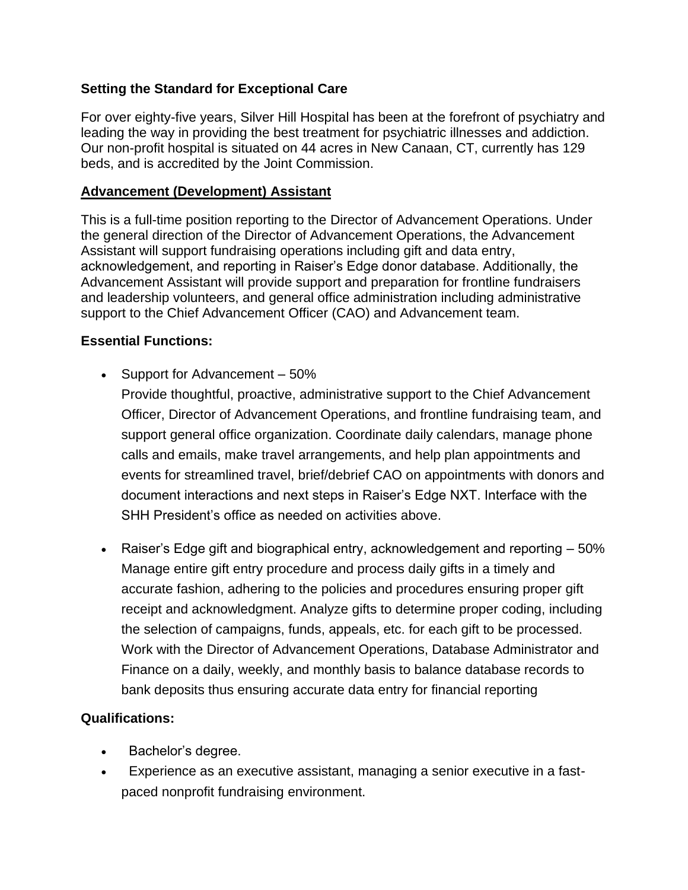# **Setting the Standard for Exceptional Care**

For over eighty-five years, Silver Hill Hospital has been at the forefront of psychiatry and leading the way in providing the best treatment for psychiatric illnesses and addiction. Our non-profit hospital is situated on 44 acres in New Canaan, CT, currently has 129 beds, and is accredited by the Joint Commission.

### **Advancement (Development) Assistant**

This is a full-time position reporting to the Director of Advancement Operations. Under the general direction of the Director of Advancement Operations, the Advancement Assistant will support fundraising operations including gift and data entry, acknowledgement, and reporting in Raiser's Edge donor database. Additionally, the Advancement Assistant will provide support and preparation for frontline fundraisers and leadership volunteers, and general office administration including administrative support to the Chief Advancement Officer (CAO) and Advancement team.

# **Essential Functions:**

• Support for Advancement – 50%

Provide thoughtful, proactive, administrative support to the Chief Advancement Officer, Director of Advancement Operations, and frontline fundraising team, and support general office organization. Coordinate daily calendars, manage phone calls and emails, make travel arrangements, and help plan appointments and events for streamlined travel, brief/debrief CAO on appointments with donors and document interactions and next steps in Raiser's Edge NXT. Interface with the SHH President's office as needed on activities above.

• Raiser's Edge gift and biographical entry, acknowledgement and reporting – 50% Manage entire gift entry procedure and process daily gifts in a timely and accurate fashion, adhering to the policies and procedures ensuring proper gift receipt and acknowledgment. Analyze gifts to determine proper coding, including the selection of campaigns, funds, appeals, etc. for each gift to be processed. Work with the Director of Advancement Operations, Database Administrator and Finance on a daily, weekly, and monthly basis to balance database records to bank deposits thus ensuring accurate data entry for financial reporting

# **Qualifications:**

- Bachelor's degree.
- Experience as an executive assistant, managing a senior executive in a fastpaced nonprofit fundraising environment.